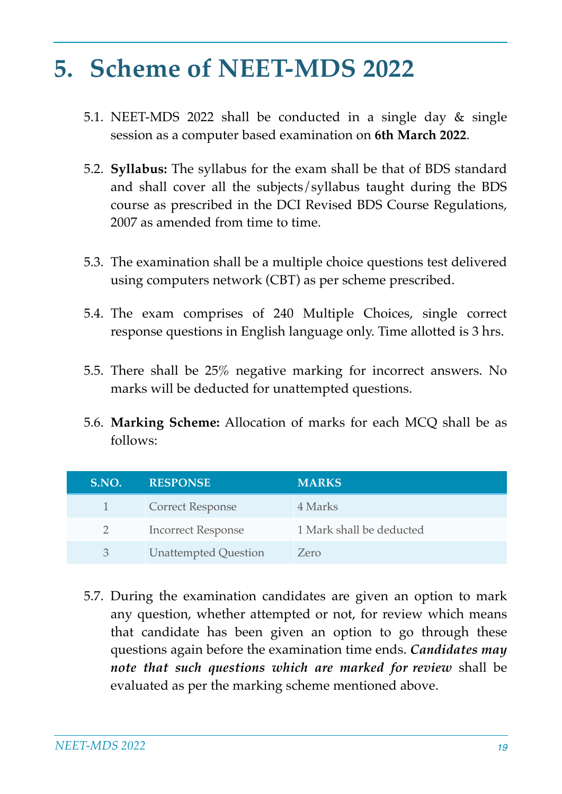## **5. Scheme of NEET-MDS 2022**

- 5.1. NEET-MDS 2022 shall be conducted in a single day & single session as a computer based examination on **6th March 2022**.
- 5.2. **Syllabus:** The syllabus for the exam shall be that of BDS standard and shall cover all the subjects/syllabus taught during the BDS course as prescribed in the DCI Revised BDS Course Regulations, 2007 as amended from time to time.
- 5.3. The examination shall be a multiple choice questions test delivered using computers network (CBT) as per scheme prescribed.
- 5.4. The exam comprises of 240 Multiple Choices, single correct response questions in English language only. Time allotted is 3 hrs.
- 5.5. There shall be 25% negative marking for incorrect answers. No marks will be deducted for unattempted questions.
- 5.6. **Marking Scheme:** Allocation of marks for each MCQ shall be as follows:

| S.NO. | <b>RESPONSE</b>             | <b>MARKS</b>             |
|-------|-----------------------------|--------------------------|
|       | <b>Correct Response</b>     | 4 Marks                  |
|       | <b>Incorrect Response</b>   | 1 Mark shall be deducted |
| 3     | <b>Unattempted Question</b> | Zero                     |

5.7. During the examination candidates are given an option to mark any question, whether attempted or not, for review which means that candidate has been given an option to go through these questions again before the examination time ends. *Candidates may note that such questions which are marked for review* shall be evaluated as per the marking scheme mentioned above.